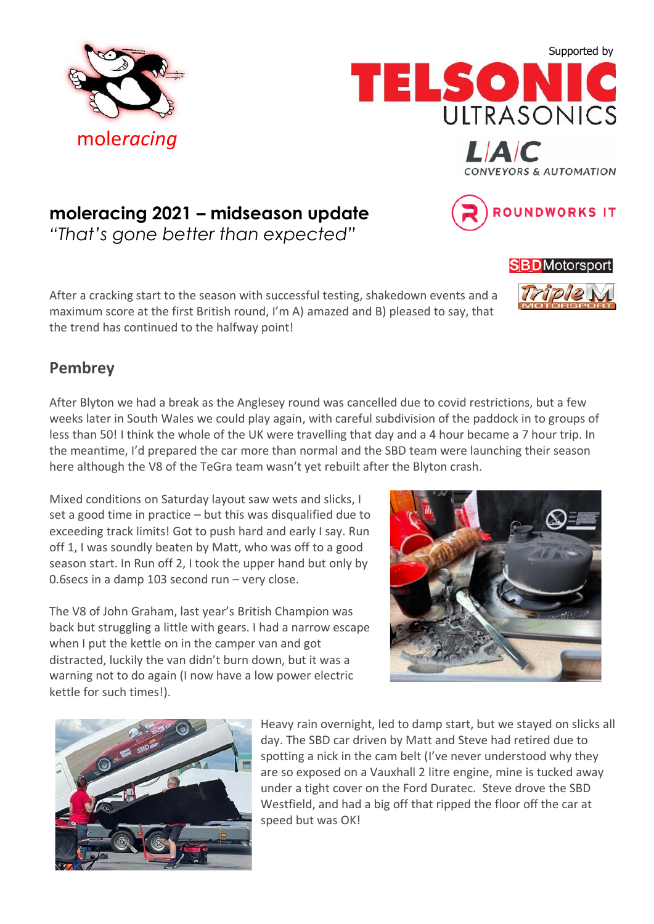





 $\blacksquare$ 

**CONVEYORS & AUTOMATION** 

**ROUNDWORKS IT** 

**SBD**Motorsport

Triple

# **moleracing 2021 – midseason update**

*"That's gone better than expected"*

After a cracking start to the season with successful testing, shakedown events and a maximum score at the first British round, I'm A) amazed and B) pleased to say, that the trend has continued to the halfway point!

### **Pembrey**

After Blyton we had a break as the Anglesey round was cancelled due to covid restrictions, but a few weeks later in South Wales we could play again, with careful subdivision of the paddock in to groups of less than 50! I think the whole of the UK were travelling that day and a 4 hour became a 7 hour trip. In the meantime, I'd prepared the car more than normal and the SBD team were launching their season here although the V8 of the TeGra team wasn't yet rebuilt after the Blyton crash.

Mixed conditions on Saturday layout saw wets and slicks, I set a good time in practice – but this was disqualified due to exceeding track limits! Got to push hard and early I say. Run off 1, I was soundly beaten by Matt, who was off to a good season start. In Run off 2, I took the upper hand but only by 0.6secs in a damp 103 second run – very close.

The V8 of John Graham, last year's British Champion was back but struggling a little with gears. I had a narrow escape when I put the kettle on in the camper van and got distracted, luckily the van didn't burn down, but it was a warning not to do again (I now have a low power electric kettle for such times!).





Heavy rain overnight, led to damp start, but we stayed on slicks all day. The SBD car driven by Matt and Steve had retired due to spotting a nick in the cam belt (I've never understood why they are so exposed on a Vauxhall 2 litre engine, mine is tucked away under a tight cover on the Ford Duratec. Steve drove the SBD Westfield, and had a big off that ripped the floor off the car at speed but was OK!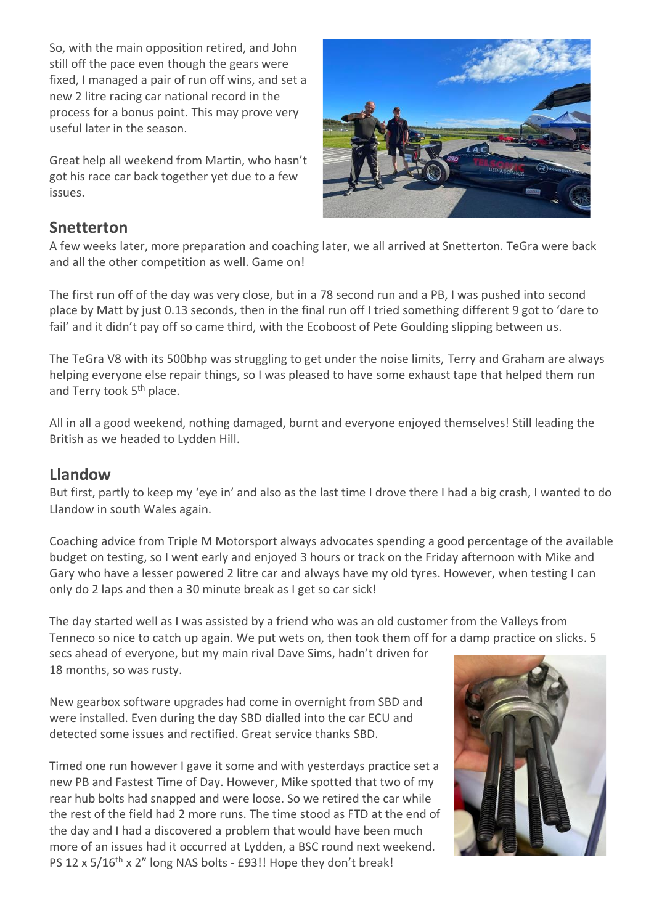So, with the main opposition retired, and John still off the pace even though the gears were fixed, I managed a pair of run off wins, and set a new 2 litre racing car national record in the process for a bonus point. This may prove very useful later in the season.

Great help all weekend from Martin, who hasn't got his race car back together yet due to a few issues.



#### **Snetterton**

A few weeks later, more preparation and coaching later, we all arrived at Snetterton. TeGra were back and all the other competition as well. Game on!

The first run off of the day was very close, but in a 78 second run and a PB, I was pushed into second place by Matt by just 0.13 seconds, then in the final run off I tried something different 9 got to 'dare to fail' and it didn't pay off so came third, with the Ecoboost of Pete Goulding slipping between us.

The TeGra V8 with its 500bhp was struggling to get under the noise limits, Terry and Graham are always helping everyone else repair things, so I was pleased to have some exhaust tape that helped them run and Terry took 5<sup>th</sup> place.

All in all a good weekend, nothing damaged, burnt and everyone enjoyed themselves! Still leading the British as we headed to Lydden Hill.

#### **Llandow**

But first, partly to keep my 'eye in' and also as the last time I drove there I had a big crash, I wanted to do Llandow in south Wales again.

Coaching advice from Triple M Motorsport always advocates spending a good percentage of the available budget on testing, so I went early and enjoyed 3 hours or track on the Friday afternoon with Mike and Gary who have a lesser powered 2 litre car and always have my old tyres. However, when testing I can only do 2 laps and then a 30 minute break as I get so car sick!

The day started well as I was assisted by a friend who was an old customer from the Valleys from Tenneco so nice to catch up again. We put wets on, then took them off for a damp practice on slicks. 5

secs ahead of everyone, but my main rival Dave Sims, hadn't driven for 18 months, so was rusty.

New gearbox software upgrades had come in overnight from SBD and were installed. Even during the day SBD dialled into the car ECU and detected some issues and rectified. Great service thanks SBD.

Timed one run however I gave it some and with yesterdays practice set a new PB and Fastest Time of Day. However, Mike spotted that two of my rear hub bolts had snapped and were loose. So we retired the car while the rest of the field had 2 more runs. The time stood as FTD at the end of the day and I had a discovered a problem that would have been much more of an issues had it occurred at Lydden, a BSC round next weekend. PS 12 x 5/16<sup>th</sup> x 2" long NAS bolts - £93!! Hope they don't break!

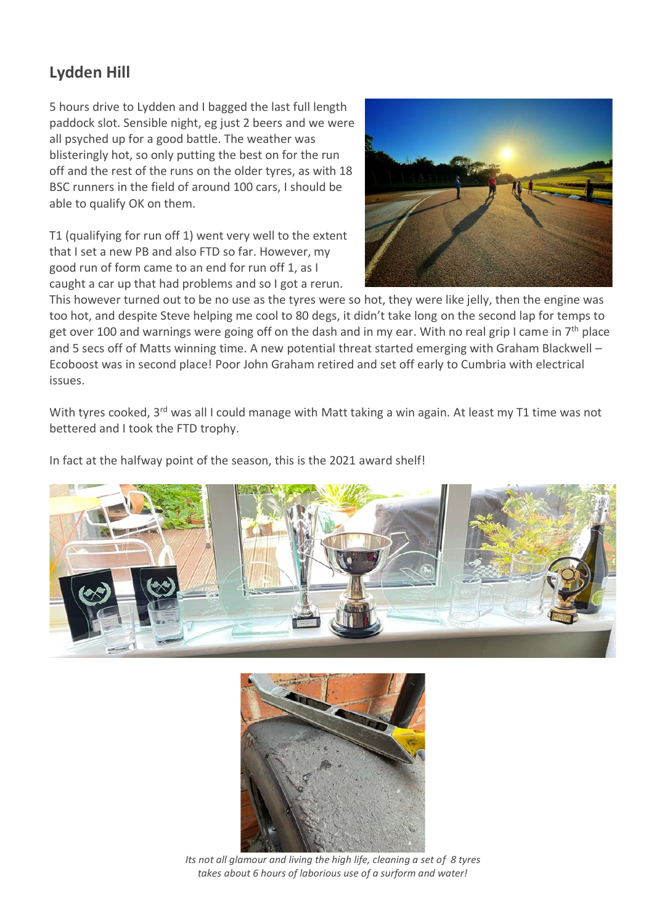## **Lydden Hill**

5 hours drive to Lydden and I bagged the last full length paddock slot. Sensible night, eg just 2 beers and we were all psyched up for a good battle. The weather was blisteringly hot, so only putting the best on for the run off and the rest of the runs on the older tyres, as with 18 BSC runners in the field of around 100 cars, I should be able to qualify OK on them.

T1 (qualifying for run off 1) went very well to the extent that I set a new PB and also FTD so far. However, my good run of form came to an end for run off 1, as I caught a car up that had problems and so I got a rerun.



This however turned out to be no use as the tyres were so hot, they were like jelly, then the engine was too hot, and despite Steve helping me cool to 80 degs, it didn't take long on the second lap for temps to get over 100 and warnings were going off on the dash and in my ear. With no real grip I came in  $7<sup>th</sup>$  place and 5 secs off of Matts winning time. A new potential threat started emerging with Graham Blackwell – Ecoboost was in second place! Poor John Graham retired and set off early to Cumbria with electrical issues.

With tyres cooked, 3<sup>rd</sup> was all I could manage with Matt taking a win again. At least my T1 time was not bettered and I took the FTD trophy.

In fact at the halfway point of the season, this is the 2021 award shelf!





*Its not all glamour and living the high life, cleaning a set of 8 tyres takes about 6 hours of laborious use of a surform and water!*